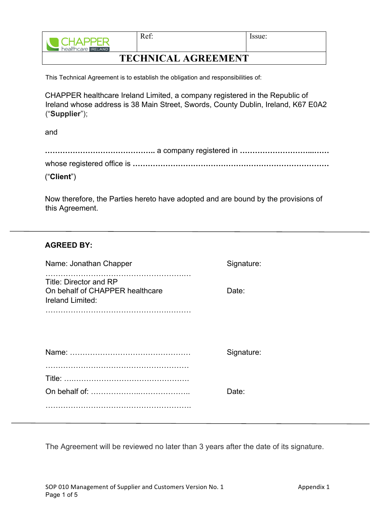

This Technical Agreement is to establish the obligation and responsibilities of:

CHAPPER healthcare Ireland Limited, a company registered in the Republic of Ireland whose address is 38 Main Street, Swords, County Dublin, Ireland, K67 E0A2 ("**Supplier**");

and

| ("Client") |
|------------|

Now therefore, the Parties hereto have adopted and are bound by the provisions of this Agreement.

| Signature: |
|------------|
| Date:      |
|            |
| Signature: |
|            |
| Date:      |
|            |
|            |

The Agreement will be reviewed no later than 3 years after the date of its signature.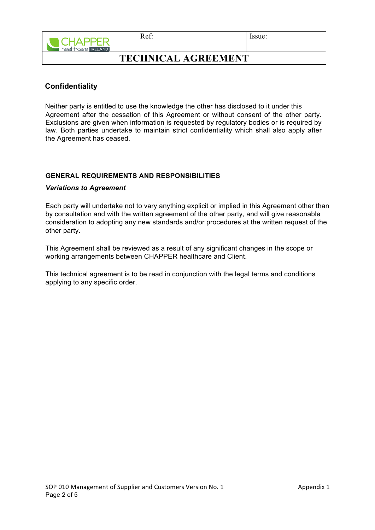

Ref: Issue:

## **TECHNICAL AGREEMENT**

### **Confidentiality**

Neither party is entitled to use the knowledge the other has disclosed to it under this Agreement after the cessation of this Agreement or without consent of the other party. Exclusions are given when information is requested by regulatory bodies or is required by law. Both parties undertake to maintain strict confidentiality which shall also apply after the Agreement has ceased.

### **GENERAL REQUIREMENTS AND RESPONSIBILITIES**

#### *Variations to Agreement*

Each party will undertake not to vary anything explicit or implied in this Agreement other than by consultation and with the written agreement of the other party, and will give reasonable consideration to adopting any new standards and/or procedures at the written request of the other party.

This Agreement shall be reviewed as a result of any significant changes in the scope or working arrangements between CHAPPER healthcare and Client.

This technical agreement is to be read in conjunction with the legal terms and conditions applying to any specific order.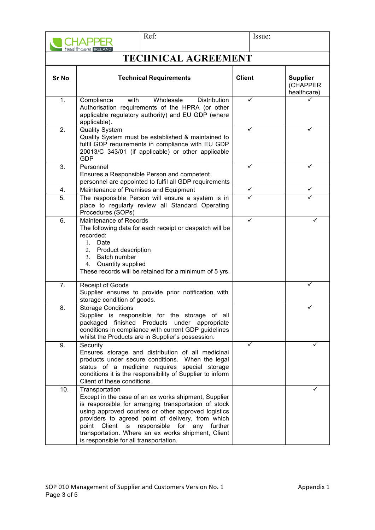|                            | Ref:<br>healthcare IRELAND                                                                                                                                                                                                                                                                                                                                                                      | Issue:        |                                            |  |
|----------------------------|-------------------------------------------------------------------------------------------------------------------------------------------------------------------------------------------------------------------------------------------------------------------------------------------------------------------------------------------------------------------------------------------------|---------------|--------------------------------------------|--|
| <b>TECHNICAL AGREEMENT</b> |                                                                                                                                                                                                                                                                                                                                                                                                 |               |                                            |  |
| <b>Sr No</b>               | <b>Technical Requirements</b>                                                                                                                                                                                                                                                                                                                                                                   | <b>Client</b> | <b>Supplier</b><br>(CHAPPER<br>healthcare) |  |
| 1.                         | with<br>Wholesale<br>Compliance<br><b>Distribution</b><br>Authorisation requirements of the HPRA (or other<br>applicable regulatory authority) and EU GDP (where<br>applicable).                                                                                                                                                                                                                | ✓             |                                            |  |
| 2.                         | <b>Quality System</b><br>✓<br>✓<br>Quality System must be established & maintained to<br>fulfil GDP requirements in compliance with EU GDP<br>20013/C 343/01 (if applicable) or other applicable<br>GDP                                                                                                                                                                                         |               |                                            |  |
| 3.                         | Personnel<br>Ensures a Responsible Person and competent<br>personnel are appointed to fulfil all GDP requirements                                                                                                                                                                                                                                                                               | ✓             | ✓                                          |  |
| 4.                         | Maintenance of Premises and Equipment                                                                                                                                                                                                                                                                                                                                                           | ✓             | ✓                                          |  |
| 5.                         | The responsible Person will ensure a system is in<br>place to regularly review all Standard Operating<br>Procedures (SOPs)                                                                                                                                                                                                                                                                      | ✓             |                                            |  |
| 6.                         | Maintenance of Records<br>The following data for each receipt or despatch will be<br>recorded:<br>Date<br>$1_{-}$<br>2. Product description<br>Batch number<br>3.<br>Quantity supplied<br>4.<br>These records will be retained for a minimum of 5 yrs.                                                                                                                                          | ✓             |                                            |  |
| 7.                         | Receipt of Goods<br>Supplier ensures to provide prior notification with<br>storage condition of goods.                                                                                                                                                                                                                                                                                          |               |                                            |  |
| 8.                         | <b>Storage Conditions</b><br>Supplier is responsible for the storage of all<br>packaged finished Products<br>under<br>appropriate<br>conditions in compliance with current GDP guidelines<br>whilst the Products are in Supplier's possession.                                                                                                                                                  |               |                                            |  |
| 9.                         | Security<br>Ensures storage and distribution of all medicinal<br>products under secure conditions. When the legal<br>status of a medicine requires special storage<br>conditions it is the responsibility of Supplier to inform<br>Client of these conditions.                                                                                                                                  |               |                                            |  |
| 10.                        | Transportation<br>Except in the case of an ex works shipment, Supplier<br>is responsible for arranging transportation of stock<br>using approved couriers or other approved logistics<br>providers to agreed point of delivery, from which<br>Client<br>is responsible for any further<br>point<br>transportation. Where an ex works shipment, Client<br>is responsible for all transportation. |               |                                            |  |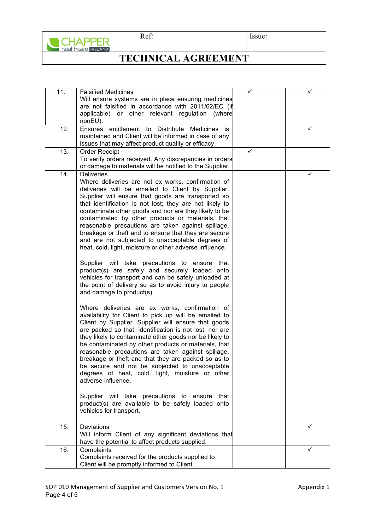

Ref: Issue:

# **TECHNICAL AGREEMENT**

| 11. | <b>Falsified Medicines</b><br>Will ensure systems are in place ensuring medicines<br>are not falsified in accordance with 2011/62/EC (if<br>applicable) or other relevant regulation (where                                                                                                                                                                                                                                                                                                                                                                                                                                                                                                                                                                                                                                                                                                                                                                                                                                                                                                                                                                                                                                                                                                                                                                                                                                                                                                                                                                              |   |   |  |  |
|-----|--------------------------------------------------------------------------------------------------------------------------------------------------------------------------------------------------------------------------------------------------------------------------------------------------------------------------------------------------------------------------------------------------------------------------------------------------------------------------------------------------------------------------------------------------------------------------------------------------------------------------------------------------------------------------------------------------------------------------------------------------------------------------------------------------------------------------------------------------------------------------------------------------------------------------------------------------------------------------------------------------------------------------------------------------------------------------------------------------------------------------------------------------------------------------------------------------------------------------------------------------------------------------------------------------------------------------------------------------------------------------------------------------------------------------------------------------------------------------------------------------------------------------------------------------------------------------|---|---|--|--|
|     | nonEU).                                                                                                                                                                                                                                                                                                                                                                                                                                                                                                                                                                                                                                                                                                                                                                                                                                                                                                                                                                                                                                                                                                                                                                                                                                                                                                                                                                                                                                                                                                                                                                  |   |   |  |  |
| 12. | Ensures entitlement to Distribute<br>Medicines is<br>✓<br>maintained and Client will be informed in case of any<br>issues that may affect product quality or efficacy.                                                                                                                                                                                                                                                                                                                                                                                                                                                                                                                                                                                                                                                                                                                                                                                                                                                                                                                                                                                                                                                                                                                                                                                                                                                                                                                                                                                                   |   |   |  |  |
| 13. | Order Receipt<br>To verify orders received. Any discrepancies in orders<br>or damage to materials will be notified to the Supplier.                                                                                                                                                                                                                                                                                                                                                                                                                                                                                                                                                                                                                                                                                                                                                                                                                                                                                                                                                                                                                                                                                                                                                                                                                                                                                                                                                                                                                                      | ✓ |   |  |  |
| 14. | <b>Deliveries</b><br>Where deliveries are not ex works, confirmation of<br>deliveries will be emailed to Client by Supplier.<br>Supplier will ensure that goods are transported so<br>that identification is not lost; they are not likely to<br>contaminate other goods and nor are they likely to be<br>contaminated by other products or materials, that<br>reasonable precautions are taken against spillage,<br>breakage or theft and to ensure that they are secure<br>and are not subjected to unacceptable degrees of<br>heat, cold, light, moisture or other adverse influence.<br>Supplier will take precautions to ensure<br>that<br>product(s) are safely and securely loaded onto<br>vehicles for transport and can be safely unloaded at<br>the point of delivery so as to avoid injury to people<br>and damage to product(s).<br>Where deliveries are ex works, confirmation of<br>availability for Client to pick up will be emailed to<br>Client by Supplier. Supplier will ensure that goods<br>are packed so that: identification is not lost, nor are<br>they likely to contaminate other goods nor be likely to<br>be contaminated by other products or materials, that<br>reasonable precautions are taken against spillage,<br>breakage or theft and that they are packed so as to<br>be secure and not be subiected to unacceptable<br>degrees of heat, cold, light, moisture or other<br>adverse influence.<br>Supplier will take precautions to ensure<br>that<br>product(s) are available to be safely loaded onto<br>vehicles for transport. |   | ✓ |  |  |
|     |                                                                                                                                                                                                                                                                                                                                                                                                                                                                                                                                                                                                                                                                                                                                                                                                                                                                                                                                                                                                                                                                                                                                                                                                                                                                                                                                                                                                                                                                                                                                                                          |   |   |  |  |
| 15. | Deviations<br>Will inform Client of any significant deviations that<br>have the potential to affect products supplied.                                                                                                                                                                                                                                                                                                                                                                                                                                                                                                                                                                                                                                                                                                                                                                                                                                                                                                                                                                                                                                                                                                                                                                                                                                                                                                                                                                                                                                                   |   |   |  |  |
| 16. | Complaints<br>Complaints received for the products supplied to<br>Client will be promptly informed to Client.                                                                                                                                                                                                                                                                                                                                                                                                                                                                                                                                                                                                                                                                                                                                                                                                                                                                                                                                                                                                                                                                                                                                                                                                                                                                                                                                                                                                                                                            |   |   |  |  |